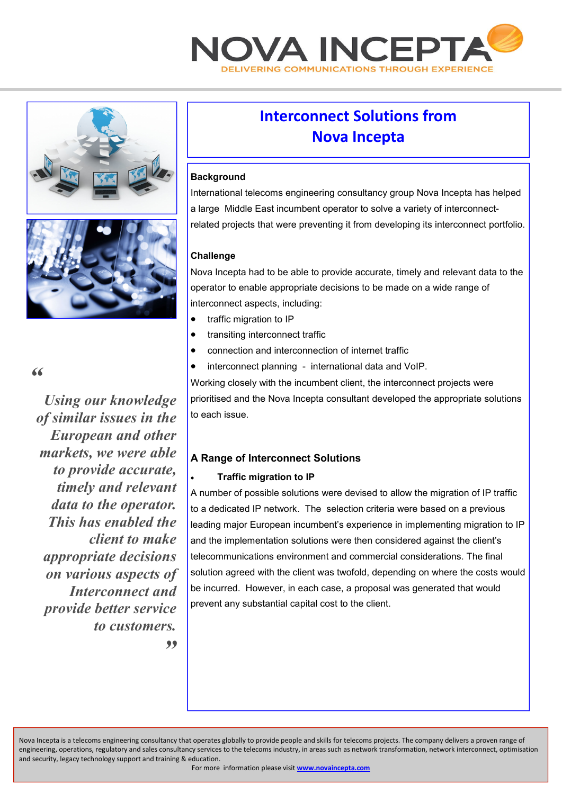





#### *"*

*Using our knowledge of similar issues in the European and other markets, we were able to provide accurate, timely and relevant data to the operator. This has enabled the client to make appropriate decisions on various aspects of Interconnect and provide better service to customers.* 

# **Interconnect Solutions from Nova Incepta**

### **Background**

International telecoms engineering consultancy group Nova Incepta has helped a large Middle East incumbent operator to solve a variety of interconnectrelated projects that were preventing it from developing its interconnect portfolio.

#### **Challenge**

Nova Incepta had to be able to provide accurate, timely and relevant data to the operator to enable appropriate decisions to be made on a wide range of interconnect aspects, including:

- traffic migration to IP
- transiting interconnect traffic
- connection and interconnection of internet traffic
- interconnect planning international data and VoIP.

Working closely with the incumbent client, the interconnect projects were prioritised and the Nova Incepta consultant developed the appropriate solutions to each issue.

# **A Range of Interconnect Solutions**

#### • **Traffic migration to IP**

A number of possible solutions were devised to allow the migration of IP traffic to a dedicated IP network. The selection criteria were based on a previous leading major European incumbent's experience in implementing migration to IP and the implementation solutions were then considered against the client's telecommunications environment and commercial considerations. The final solution agreed with the client was twofold, depending on where the costs would be incurred. However, in each case, a proposal was generated that would prevent any substantial capital cost to the client.

*"* 

Nova Incepta is a telecoms engineering consultancy that operates globally to provide people and skills for telecoms projects. The company delivers a proven range of engineering, operations, regulatory and sales consultancy services to the telecoms industry, in areas such as network transformation, network interconnect, optimisation and security, legacy technology support and training & education.